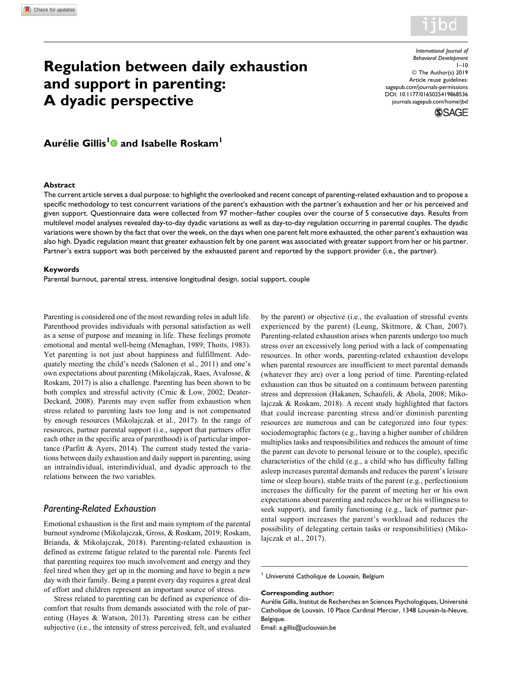

# Regulation between daily exhaustion and support in parenting: A dyadic perspective

International Journal of Behavioral Development  $1 - 10$ © The Author(s) 2019 Article reuse guidelines: [sagepub.com/journals-permissions](https://sagepub.com/journals-permissions) [DOI: 10.1177/0165025419868536](https://doi.org/10.1177/0165025419868536) [journals.sagepub.com/home/jbd](http://journals.sagepub.com/home/jbd)



## Aurélie Gillis<sup>1</sup> and Isabelle Roskam<sup>1</sup>

#### **Abstract**

The current article serves a dual purpose: to highlight the overlooked and recent concept of parenting-related exhaustion and to propose a specific methodology to test concurrent variations of the parent's exhaustion with the partner's exhaustion and her or his perceived and given support. Questionnaire data were collected from 97 mother–father couples over the course of 5 consecutive days. Results from multilevel model analyses revealed day-to-day dyadic variations as well as day-to-day regulation occurring in parental couples. The dyadic variations were shown by the fact that over the week, on the days when one parent felt more exhausted, the other parent's exhaustion was also high. Dyadic regulation meant that greater exhaustion felt by one parent was associated with greater support from her or his partner. Partner's extra support was both perceived by the exhausted parent and reported by the support provider (i.e., the partner).

#### Keywords

Parental burnout, parental stress, intensive longitudinal design, social support, couple

Parenting is considered one of the most rewarding roles in adult life. Parenthood provides individuals with personal satisfaction as well as a sense of purpose and meaning in life. These feelings promote emotional and mental well-being (Menaghan, 1989; Thoits, 1983). Yet parenting is not just about happiness and fulfillment. Adequately meeting the child's needs (Salonen et al., 2011) and one's own expectations about parenting (Mikolajczak, Raes, Avalosse, & Roskam, 2017) is also a challenge. Parenting has been shown to be both complex and stressful activity (Crnic & Low, 2002; Deater-Deckard, 2008). Parents may even suffer from exhaustion when stress related to parenting lasts too long and is not compensated by enough resources (Mikolajczak et al., 2017). In the range of resources, partner parental support (i.e., support that partners offer each other in the specific area of parenthood) is of particular importance (Parfitt & Ayers, 2014). The current study tested the variations between daily exhaustion and daily support in parenting, using an intraindividual, interindividual, and dyadic approach to the relations between the two variables.

#### Parenting-Related Exhaustion

Emotional exhaustion is the first and main symptom of the parental burnout syndrome (Mikolajczak, Gross, & Roskam, 2019; Roskam, Brianda, & Mikolajczak, 2018). Parenting-related exhaustion is defined as extreme fatigue related to the parental role. Parents feel that parenting requires too much involvement and energy and they feel tired when they get up in the morning and have to begin a new day with their family. Being a parent every day requires a great deal of effort and children represent an important source of stress.

Stress related to parenting can be defined as experience of discomfort that results from demands associated with the role of parenting (Hayes & Watson, 2013). Parenting stress can be either subjective (i.e., the intensity of stress perceived, felt, and evaluated by the parent) or objective (i.e., the evaluation of stressful events experienced by the parent) (Leung, Skitmore, & Chan, 2007). Parenting-related exhaustion arises when parents undergo too much stress over an excessively long period with a lack of compensating resources. In other words, parenting-related exhaustion develops when parental resources are insufficient to meet parental demands (whatever they are) over a long period of time. Parenting-related exhaustion can thus be situated on a continuum between parenting stress and depression (Hakanen, Schaufeli, & Ahola, 2008; Mikolajczak & Roskam, 2018). A recent study highlighted that factors that could increase parenting stress and/or diminish parenting resources are numerous and can be categorized into four types: sociodemographic factors (e.g., having a higher number of children multiplies tasks and responsibilities and reduces the amount of time the parent can devote to personal leisure or to the couple), specific characteristics of the child (e.g., a child who has difficulty falling asleep increases parental demands and reduces the parent's leisure time or sleep hours), stable traits of the parent (e.g., perfectionism increases the difficulty for the parent of meeting her or his own expectations about parenting and reduces her or his willingness to seek support), and family functioning (e.g., lack of partner parental support increases the parent's workload and reduces the possibility of delegating certain tasks or responsibilities) (Mikolajczak et al., 2017).

<sup>1</sup> Université Catholique de Louvain, Belgium

#### Corresponding author:

Aurélie Gillis, Institut de Recherches en Sciences Psychologiques, Université Catholique de Louvain, 10 Place Cardinal Mercier, 1348 Louvain-la-Neuve, Belgique.

Email: [a.gillis@uclouvain.be](mailto:a.gillis@uclouvain.be)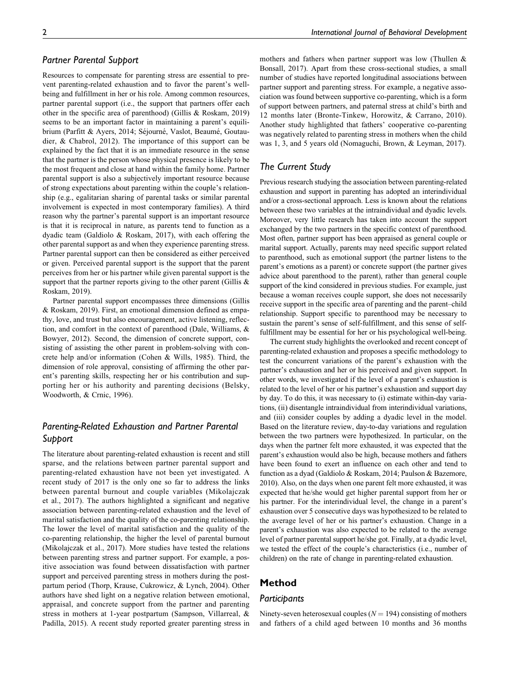## Partner Parental Support

Resources to compensate for parenting stress are essential to prevent parenting-related exhaustion and to favor the parent's wellbeing and fulfillment in her or his role. Among common resources, partner parental support (i.e., the support that partners offer each other in the specific area of parenthood) (Gillis & Roskam, 2019) seems to be an important factor in maintaining a parent's equilibrium (Parfitt & Ayers, 2014; Séjourné, Vaslot, Beaumé, Goutaudier, & Chabrol, 2012). The importance of this support can be explained by the fact that it is an immediate resource in the sense that the partner is the person whose physical presence is likely to be the most frequent and close at hand within the family home. Partner parental support is also a subjectively important resource because of strong expectations about parenting within the couple's relationship (e.g., egalitarian sharing of parental tasks or similar parental involvement is expected in most contemporary families). A third reason why the partner's parental support is an important resource is that it is reciprocal in nature, as parents tend to function as a dyadic team (Galdiolo & Roskam, 2017), with each offering the other parental support as and when they experience parenting stress. Partner parental support can then be considered as either perceived or given. Perceived parental support is the support that the parent perceives from her or his partner while given parental support is the support that the partner reports giving to the other parent (Gillis & Roskam, 2019).

Partner parental support encompasses three dimensions (Gillis & Roskam, 2019). First, an emotional dimension defined as empathy, love, and trust but also encouragement, active listening, reflection, and comfort in the context of parenthood (Dale, Williams, & Bowyer, 2012). Second, the dimension of concrete support, consisting of assisting the other parent in problem-solving with concrete help and/or information (Cohen & Wills, 1985). Third, the dimension of role approval, consisting of affirming the other parent's parenting skills, respecting her or his contribution and supporting her or his authority and parenting decisions (Belsky, Woodworth, & Crnic, 1996).

## Parenting-Related Exhaustion and Partner Parental Support

The literature about parenting-related exhaustion is recent and still sparse, and the relations between partner parental support and parenting-related exhaustion have not been yet investigated. A recent study of 2017 is the only one so far to address the links between parental burnout and couple variables (Mikolajczak et al., 2017). The authors highlighted a significant and negative association between parenting-related exhaustion and the level of marital satisfaction and the quality of the co-parenting relationship. The lower the level of marital satisfaction and the quality of the co-parenting relationship, the higher the level of parental burnout (Mikolajczak et al., 2017). More studies have tested the relations between parenting stress and partner support. For example, a positive association was found between dissatisfaction with partner support and perceived parenting stress in mothers during the postpartum period (Thorp, Krause, Cukrowicz, & Lynch, 2004). Other authors have shed light on a negative relation between emotional, appraisal, and concrete support from the partner and parenting stress in mothers at 1-year postpartum (Sampson, Villarreal, & Padilla, 2015). A recent study reported greater parenting stress in

mothers and fathers when partner support was low (Thullen & Bonsall, 2017). Apart from these cross-sectional studies, a small number of studies have reported longitudinal associations between partner support and parenting stress. For example, a negative association was found between supportive co-parenting, which is a form of support between partners, and paternal stress at child's birth and 12 months later (Bronte-Tinkew, Horowitz, & Carrano, 2010). Another study highlighted that fathers' cooperative co-parenting was negatively related to parenting stress in mothers when the child was 1, 3, and 5 years old (Nomaguchi, Brown, & Leyman, 2017).

## The Current Study

Previous research studying the association between parenting-related exhaustion and support in parenting has adopted an interindividual and/or a cross-sectional approach. Less is known about the relations between these two variables at the intraindividual and dyadic levels. Moreover, very little research has taken into account the support exchanged by the two partners in the specific context of parenthood. Most often, partner support has been appraised as general couple or marital support. Actually, parents may need specific support related to parenthood, such as emotional support (the partner listens to the parent's emotions as a parent) or concrete support (the partner gives advice about parenthood to the parent), rather than general couple support of the kind considered in previous studies. For example, just because a woman receives couple support, she does not necessarily receive support in the specific area of parenting and the parent–child relationship. Support specific to parenthood may be necessary to sustain the parent's sense of self-fulfillment, and this sense of selffulfillment may be essential for her or his psychological well-being.

The current study highlights the overlooked and recent concept of parenting-related exhaustion and proposes a specific methodology to test the concurrent variations of the parent's exhaustion with the partner's exhaustion and her or his perceived and given support. In other words, we investigated if the level of a parent's exhaustion is related to the level of her or his partner's exhaustion and support day by day. To do this, it was necessary to (i) estimate within-day variations, (ii) disentangle intraindividual from interindividual variations, and (iii) consider couples by adding a dyadic level in the model. Based on the literature review, day-to-day variations and regulation between the two partners were hypothesized. In particular, on the days when the partner felt more exhausted, it was expected that the parent's exhaustion would also be high, because mothers and fathers have been found to exert an influence on each other and tend to function as a dyad (Galdiolo & Roskam, 2014; Paulson & Bazemore, 2010). Also, on the days when one parent felt more exhausted, it was expected that he/she would get higher parental support from her or his partner. For the interindividual level, the change in a parent's exhaustion over 5 consecutive days was hypothesized to be related to the average level of her or his partner's exhaustion. Change in a parent's exhaustion was also expected to be related to the average level of partner parental support he/she got. Finally, at a dyadic level, we tested the effect of the couple's characteristics (i.e., number of children) on the rate of change in parenting-related exhaustion.

## Method

#### **Participants**

Ninety-seven heterosexual couples ( $N = 194$ ) consisting of mothers and fathers of a child aged between 10 months and 36 months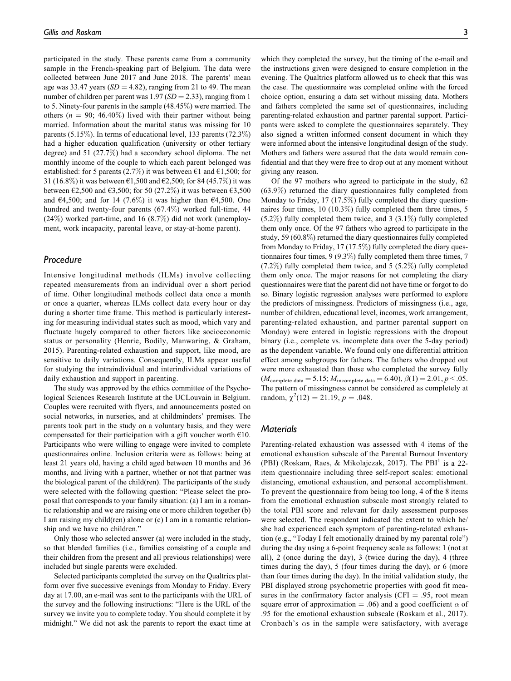participated in the study. These parents came from a community sample in the French-speaking part of Belgium. The data were collected between June 2017 and June 2018. The parents' mean age was 33.47 years  $(SD = 4.82)$ , ranging from 21 to 49. The mean number of children per parent was  $1.97$  (SD = 2.33), ranging from 1 to 5. Ninety-four parents in the sample (48.45%) were married. The others ( $n = 90$ ; 46.40%) lived with their partner without being married. Information about the marital status was missing for 10 parents (5.15%). In terms of educational level, 133 parents (72.3%) had a higher education qualification (university or other tertiary degree) and 51 (27.7%) had a secondary school diploma. The net monthly income of the couple to which each parent belonged was established: for 5 parents (2.7%) it was between  $\epsilon$ 1 and  $\epsilon$ 1,500; for 31 (16.8%) it was between  $\epsilon$ 1,500 and  $\epsilon$ 2,500; for 84 (45.7%) it was between  $\epsilon$ 2,500 and  $\epsilon$ 3,500; for 50 (27.2%) it was between  $\epsilon$ 3,500 and  $64,500$ ; and for 14 (7.6%) it was higher than  $64,500$ . One hundred and twenty-four parents (67.4%) worked full-time, 44 (24%) worked part-time, and 16 (8.7%) did not work (unemployment, work incapacity, parental leave, or stay-at-home parent).

## Procedure

Intensive longitudinal methods (ILMs) involve collecting repeated measurements from an individual over a short period of time. Other longitudinal methods collect data once a month or once a quarter, whereas ILMs collect data every hour or day during a shorter time frame. This method is particularly interesting for measuring individual states such as mood, which vary and fluctuate hugely compared to other factors like socioeconomic status or personality (Henrie, Bodily, Manwaring, & Graham, 2015). Parenting-related exhaustion and support, like mood, are sensitive to daily variations. Consequently, ILMs appear useful for studying the intraindividual and interindividual variations of daily exhaustion and support in parenting.

The study was approved by the ethics committee of the Psychological Sciences Research Institute at the UCLouvain in Belgium. Couples were recruited with flyers, and announcements posted on social networks, in nurseries, and at childminders' premises. The parents took part in the study on a voluntary basis, and they were compensated for their participation with a gift voucher worth €10. Participants who were willing to engage were invited to complete questionnaires online. Inclusion criteria were as follows: being at least 21 years old, having a child aged between 10 months and 36 months, and living with a partner, whether or not that partner was the biological parent of the child(ren). The participants of the study were selected with the following question: "Please select the proposal that corresponds to your family situation: (a) I am in a romantic relationship and we are raising one or more children together (b) I am raising my child(ren) alone or (c) I am in a romantic relationship and we have no children."

Only those who selected answer (a) were included in the study, so that blended families (i.e., families consisting of a couple and their children from the present and all previous relationships) were included but single parents were excluded.

Selected participants completed the survey on the Qualtrics platform over five successive evenings from Monday to Friday. Every day at 17.00, an e-mail was sent to the participants with the URL of the survey and the following instructions: "Here is the URL of the survey we invite you to complete today. You should complete it by midnight." We did not ask the parents to report the exact time at

which they completed the survey, but the timing of the e-mail and the instructions given were designed to ensure completion in the evening. The Qualtrics platform allowed us to check that this was the case. The questionnaire was completed online with the forced choice option, ensuring a data set without missing data. Mothers and fathers completed the same set of questionnaires, including parenting-related exhaustion and partner parental support. Participants were asked to complete the questionnaires separately. They also signed a written informed consent document in which they were informed about the intensive longitudinal design of the study. Mothers and fathers were assured that the data would remain confidential and that they were free to drop out at any moment without giving any reason.

Of the 97 mothers who agreed to participate in the study, 62 (63.9%) returned the diary questionnaires fully completed from Monday to Friday, 17 (17.5%) fully completed the diary questionnaires four times, 10 (10.3%) fully completed them three times, 5 (5.2%) fully completed them twice, and 3 (3.1%) fully completed them only once. Of the 97 fathers who agreed to participate in the study, 59 (60.8%) returned the diary questionnaires fully completed from Monday to Friday, 17 (17.5%) fully completed the diary questionnaires four times, 9 (9.3%) fully completed them three times, 7 (7.2%) fully completed them twice, and 5 (5.2%) fully completed them only once. The major reasons for not completing the diary questionnaires were that the parent did not have time or forgot to do so. Binary logistic regression analyses were performed to explore the predictors of missingness. Predictors of missingness (i.e., age, number of children, educational level, incomes, work arrangement, parenting-related exhaustion, and partner parental support on Monday) were entered in logistic regressions with the dropout binary (i.e., complete vs. incomplete data over the 5-day period) as the dependent variable. We found only one differential attrition effect among subgroups for fathers. The fathers who dropped out were more exhausted than those who completed the survey fully  $(M_{\text{complete data}} = 5.15; M_{\text{incomplete data}} = 6.40), \beta(1) = 2.01, p < .05.$ The pattern of missingness cannot be considered as completely at random,  $\chi^2(12) = 21.19$ ,  $p = .048$ .

## **Materials**

Parenting-related exhaustion was assessed with 4 items of the emotional exhaustion subscale of the Parental Burnout Inventory (PBI) (Roskam, Raes, & Mikolajczak, 2017). The PBI<sup>1</sup> is a 22item questionnaire including three self-report scales: emotional distancing, emotional exhaustion, and personal accomplishment. To prevent the questionnaire from being too long, 4 of the 8 items from the emotional exhaustion subscale most strongly related to the total PBI score and relevant for daily assessment purposes were selected. The respondent indicated the extent to which he/ she had experienced each symptom of parenting-related exhaustion (e.g., "Today I felt emotionally drained by my parental role") during the day using a 6-point frequency scale as follows: 1 (not at all), 2 (once during the day), 3 (twice during the day), 4 (three times during the day), 5 (four times during the day), or 6 (more than four times during the day). In the initial validation study, the PBI displayed strong psychometric properties with good fit measures in the confirmatory factor analysis (CFI  $= .95$ , root mean square error of approximation = .06) and a good coefficient  $\alpha$  of .95 for the emotional exhaustion subscale (Roskam et al., 2017). Cronbach's  $\alpha$ s in the sample were satisfactory, with average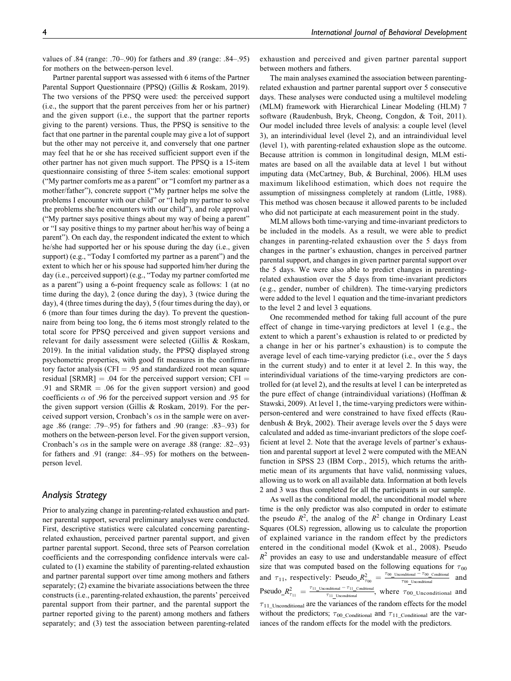values of .84 (range: .70–.90) for fathers and .89 (range: .84–.95) for mothers on the between-person level.

Partner parental support was assessed with 6 items of the Partner Parental Support Questionnaire (PPSQ) (Gillis & Roskam, 2019). The two versions of the PPSQ were used: the perceived support (i.e., the support that the parent perceives from her or his partner) and the given support (i.e., the support that the partner reports giving to the parent) versions. Thus, the PPSQ is sensitive to the fact that one partner in the parental couple may give a lot of support but the other may not perceive it, and conversely that one partner may feel that he or she has received sufficient support even if the other partner has not given much support. The PPSQ is a 15-item questionnaire consisting of three 5-item scales: emotional support ("My partner comforts me as a parent" or "I comfort my partner as a mother/father"), concrete support ("My partner helps me solve the problems I encounter with our child" or "I help my partner to solve the problems she/he encounters with our child"), and role approval ("My partner says positive things about my way of being a parent" or "I say positive things to my partner about her/his way of being a parent"). On each day, the respondent indicated the extent to which he/she had supported her or his spouse during the day (i.e., given support) (e.g., "Today I comforted my partner as a parent") and the extent to which her or his spouse had supported him/her during the day (i.e., perceived support) (e.g., "Today my partner comforted me as a parent") using a 6-point frequency scale as follows: 1 (at no time during the day), 2 (once during the day), 3 (twice during the day), 4 (three times during the day), 5 (four times during the day), or 6 (more than four times during the day). To prevent the questionnaire from being too long, the 6 items most strongly related to the total score for PPSQ perceived and given support versions and relevant for daily assessment were selected (Gillis & Roskam, 2019). In the initial validation study, the PPSQ displayed strong psychometric properties, with good fit measures in the confirmatory factor analysis (CFI  $= .95$  and standardized root mean square residual [SRMR]  $= .04$  for the perceived support version; CFI  $=$ .91 and SRMR  $=$  .06 for the given support version) and good coefficients  $\alpha$  of .96 for the perceived support version and .95 for the given support version (Gillis & Roskam, 2019). For the perceived support version, Cronbach's  $\alpha$ s in the sample were on average .86 (range: .79–.95) for fathers and .90 (range: .83–.93) for mothers on the between-person level. For the given support version, Cronbach's  $\alpha$ s in the sample were on average .88 (range: .82–.93) for fathers and .91 (range: .84–.95) for mothers on the betweenperson level.

## Analysis Strategy

Prior to analyzing change in parenting-related exhaustion and partner parental support, several preliminary analyses were conducted. First, descriptive statistics were calculated concerning parentingrelated exhaustion, perceived partner parental support, and given partner parental support. Second, three sets of Pearson correlation coefficients and the corresponding confidence intervals were calculated to (1) examine the stability of parenting-related exhaustion and partner parental support over time among mothers and fathers separately; (2) examine the bivariate associations between the three constructs (i.e., parenting-related exhaustion, the parents' perceived parental support from their partner, and the parental support the partner reported giving to the parent) among mothers and fathers separately; and (3) test the association between parenting-related exhaustion and perceived and given partner parental support between mothers and fathers.

The main analyses examined the association between parentingrelated exhaustion and partner parental support over 5 consecutive days. These analyses were conducted using a multilevel modeling (MLM) framework with Hierarchical Linear Modeling (HLM) 7 software (Raudenbush, Bryk, Cheong, Congdon, & Toit, 2011). Our model included three levels of analysis: a couple level (level 3), an interindividual level (level 2), and an intraindividual level (level 1), with parenting-related exhaustion slope as the outcome. Because attrition is common in longitudinal design, MLM estimates are based on all the available data at level 1 but without imputing data (McCartney, Bub, & Burchinal, 2006). HLM uses maximum likelihood estimation, which does not require the assumption of missingness completely at random (Little, 1988). This method was chosen because it allowed parents to be included who did not participate at each measurement point in the study.

MLM allows both time-varying and time-invariant predictors to be included in the models. As a result, we were able to predict changes in parenting-related exhaustion over the 5 days from changes in the partner's exhaustion, changes in perceived partner parental support, and changes in given partner parental support over the 5 days. We were also able to predict changes in parentingrelated exhaustion over the 5 days from time-invariant predictors (e.g., gender, number of children). The time-varying predictors were added to the level 1 equation and the time-invariant predictors to the level 2 and level 3 equations.

One recommended method for taking full account of the pure effect of change in time-varying predictors at level 1 (e.g., the extent to which a parent's exhaustion is related to or predicted by a change in her or his partner's exhaustion) is to compute the average level of each time-varying predictor (i.e., over the 5 days in the current study) and to enter it at level 2. In this way, the interindividual variations of the time-varying predictors are controlled for (at level 2), and the results at level 1 can be interpreted as the pure effect of change (intraindividual variations) (Hoffman & Stawski, 2009). At level 1, the time-varying predictors were withinperson-centered and were constrained to have fixed effects (Raudenbush & Bryk, 2002). Their average levels over the 5 days were calculated and added as time-invariant predictors of the slope coefficient at level 2. Note that the average levels of partner's exhaustion and parental support at level 2 were computed with the MEAN function in SPSS 23 (IBM Corp., 2015), which returns the arithmetic mean of its arguments that have valid, nonmissing values, allowing us to work on all available data. Information at both levels 2 and 3 was thus completed for all the participants in our sample.

As well as the conditional model, the unconditional model where time is the only predictor was also computed in order to estimate the pseudo  $R^2$ , the analog of the  $R^2$  change in Ordinary Least Squares (OLS) regression, allowing us to calculate the proportion of explained variance in the random effect by the predictors entered in the conditional model (Kwok et al., 2008). Pseudo  $R<sup>2</sup>$  provides an easy to use and understandable measure of effect size that was computed based on the following equations for  $\tau_{00}$ and  $\tau_{11}$ , respectively: Pseudo  $R_{\tau_{00}}^2 = \frac{\tau_{00 \text{ Unconditional}} - \tau_{00 \text{ Conditional}}}{\tau_{00 \text{ Unconditional}}}$  and Pseudo  $R_{\tau_{11}}^2 = \frac{\tau_{11}$  Unconditional  $-\tau_{11}$  Conditional, where  $\tau_{00}$  Unconditional and  $\tau_{11\_Unconditional}$  are the variances of the random effects for the model without the predictors;  $\tau_{00\_Conditional}$  and  $\tau_{11\_Conditional}$  are the variances of the random effects for the model with the predictors.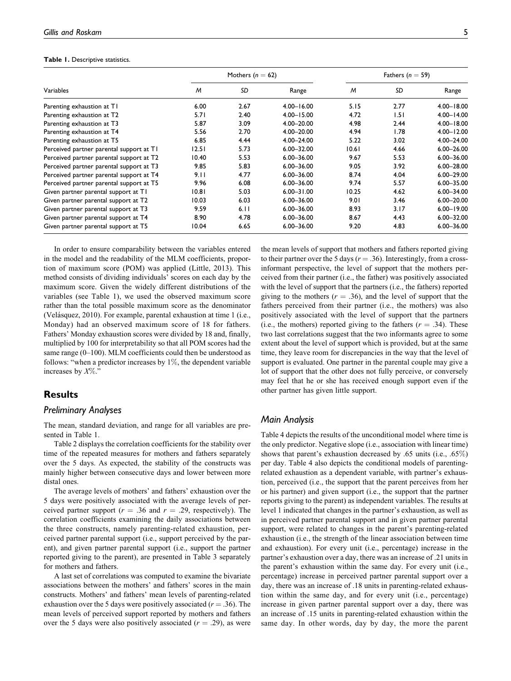#### Table 1. Descriptive statistics.

|                                          |       | Mothers $(n = 62)$ |                | Fathers ( $n = 59$ ) |      |                |
|------------------------------------------|-------|--------------------|----------------|----------------------|------|----------------|
| Variables                                | M     | SD                 | Range          | M                    | SD   | Range          |
| Parenting exhaustion at T1               | 6.00  | 2.67               | $4.00 - 16.00$ | 5.15                 | 2.77 | $4.00 - 18.00$ |
| Parenting exhaustion at T2               | 5.71  | 2.40               | $4.00 - 15.00$ | 4.72                 | 1.51 | $4.00 - 14.00$ |
| Parenting exhaustion at T3               | 5.87  | 3.09               | 4.00-20.00     | 4.98                 | 2.44 | $4.00 - 18.00$ |
| Parenting exhaustion at T4               | 5.56  | 2.70               | 4.00-20.00     | 4.94                 | 1.78 | $4.00 - 12.00$ |
| Parenting exhaustion at T5               | 6.85  | 4.44               | 4.00-24.00     | 5.22                 | 3.02 | 4.00-24.00     |
| Perceived partner parental support at TI | 12.51 | 5.73               | $6.00 - 32.00$ | 10.61                | 4.66 | $6.00 - 26.00$ |
| Perceived partner parental support at T2 | 10.40 | 5.53               | $6.00 - 36.00$ | 9.67                 | 5.53 | $6.00 - 36.00$ |
| Perceived partner parental support at T3 | 9.85  | 5.83               | $6.00 - 36.00$ | 9.05                 | 3.92 | $6.00 - 28.00$ |
| Perceived partner parental support at T4 | 9.11  | 4.77               | $6.00 - 36.00$ | 8.74                 | 4.04 | $6.00 - 29.00$ |
| Perceived partner parental support at T5 | 9.96  | 6.08               | $6.00 - 36.00$ | 9.74                 | 5.57 | 6.00-35.00     |
| Given partner parental support at TI     | 10.81 | 5.03               | $6.00 - 31.00$ | 10.25                | 4.62 | $6.00 - 34.00$ |
| Given partner parental support at T2     | 10.03 | 6.03               | $6.00 - 36.00$ | 9.01                 | 3.46 | $6.00 - 20.00$ |
| Given partner parental support at T3     | 9.59  | 6.11               | $6.00 - 36.00$ | 8.93                 | 3.17 | $6.00 - 19.00$ |
| Given partner parental support at T4     | 8.90  | 4.78               | $6.00 - 36.00$ | 8.67                 | 4.43 | $6.00 - 32.00$ |
| Given partner parental support at T5     | 10.04 | 6.65               | $6.00 - 36.00$ | 9.20                 | 4.83 | 6.00-36.00     |

In order to ensure comparability between the variables entered in the model and the readability of the MLM coefficients, proportion of maximum score (POM) was applied (Little, 2013). This method consists of dividing individuals' scores on each day by the maximum score. Given the widely different distributions of the variables (see Table 1), we used the observed maximum score rather than the total possible maximum score as the denominator (Velásquez, 2010). For example, parental exhaustion at time  $1$  (i.e., Monday) had an observed maximum score of 18 for fathers. Fathers' Monday exhaustion scores were divided by 18 and, finally, multiplied by 100 for interpretability so that all POM scores had the same range (0–100). MLM coefficients could then be understood as follows: "when a predictor increases by  $1\%$ , the dependent variable increases by  $X\%$ ."

#### **Results**

#### Preliminary Analyses

The mean, standard deviation, and range for all variables are presented in Table 1.

Table 2 displays the correlation coefficients for the stability over time of the repeated measures for mothers and fathers separately over the 5 days. As expected, the stability of the constructs was mainly higher between consecutive days and lower between more distal ones.

The average levels of mothers' and fathers' exhaustion over the 5 days were positively associated with the average levels of perceived partner support ( $r = .36$  and  $r = .29$ , respectively). The correlation coefficients examining the daily associations between the three constructs, namely parenting-related exhaustion, perceived partner parental support (i.e., support perceived by the parent), and given partner parental support (i.e., support the partner reported giving to the parent), are presented in Table 3 separately for mothers and fathers.

A last set of correlations was computed to examine the bivariate associations between the mothers' and fathers' scores in the main constructs. Mothers' and fathers' mean levels of parenting-related exhaustion over the 5 days were positively associated ( $r = .36$ ). The mean levels of perceived support reported by mothers and fathers over the 5 days were also positively associated  $(r = .29)$ , as were the mean levels of support that mothers and fathers reported giving to their partner over the 5 days ( $r = .36$ ). Interestingly, from a crossinformant perspective, the level of support that the mothers perceived from their partner (i.e., the father) was positively associated with the level of support that the partners (i.e., the fathers) reported giving to the mothers ( $r = .36$ ), and the level of support that the fathers perceived from their partner (i.e., the mothers) was also positively associated with the level of support that the partners (i.e., the mothers) reported giving to the fathers ( $r = .34$ ). These two last correlations suggest that the two informants agree to some extent about the level of support which is provided, but at the same time, they leave room for discrepancies in the way that the level of support is evaluated. One partner in the parental couple may give a lot of support that the other does not fully perceive, or conversely may feel that he or she has received enough support even if the other partner has given little support.

#### Main Analysis

Table 4 depicts the results of the unconditional model where time is the only predictor. Negative slope (i.e., association with linear time) shows that parent's exhaustion decreased by .65 units (i.e., .65%) per day. Table 4 also depicts the conditional models of parentingrelated exhaustion as a dependent variable, with partner's exhaustion, perceived (i.e., the support that the parent perceives from her or his partner) and given support (i.e., the support that the partner reports giving to the parent) as independent variables. The results at level 1 indicated that changes in the partner's exhaustion, as well as in perceived partner parental support and in given partner parental support, were related to changes in the parent's parenting-related exhaustion (i.e., the strength of the linear association between time and exhaustion). For every unit (i.e., percentage) increase in the partner's exhaustion over a day, there was an increase of .21 units in the parent's exhaustion within the same day. For every unit (i.e., percentage) increase in perceived partner parental support over a day, there was an increase of .18 units in parenting-related exhaustion within the same day, and for every unit (i.e., percentage) increase in given partner parental support over a day, there was an increase of .15 units in parenting-related exhaustion within the same day. In other words, day by day, the more the parent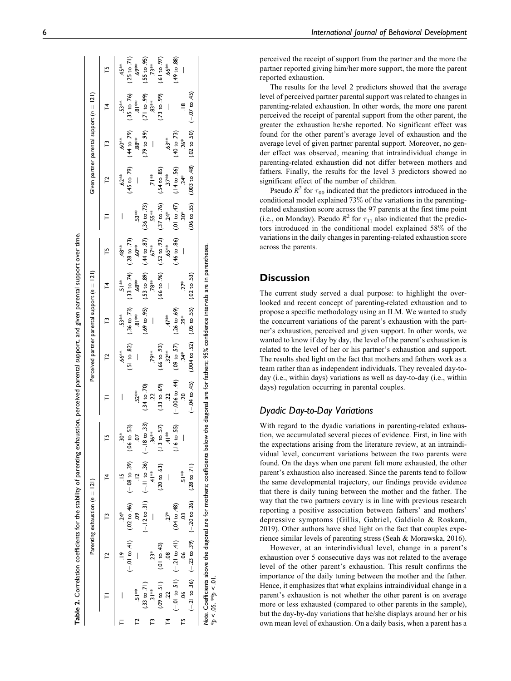|                         |                                                                                            | Parenting exhaustion $(n = 121)$ |                                                                            |                          |                                                                                           | Perceived partner parental support (n = 121) |                                       |                                                                            |                                                                               |                         |                                                       | Given partner parental support (n = 121) |                                                                                                                                                                                                                                |                         |
|-------------------------|--------------------------------------------------------------------------------------------|----------------------------------|----------------------------------------------------------------------------|--------------------------|-------------------------------------------------------------------------------------------|----------------------------------------------|---------------------------------------|----------------------------------------------------------------------------|-------------------------------------------------------------------------------|-------------------------|-------------------------------------------------------|------------------------------------------|--------------------------------------------------------------------------------------------------------------------------------------------------------------------------------------------------------------------------------|-------------------------|
|                         |                                                                                            |                                  |                                                                            |                          |                                                                                           |                                              | բ                                     | 74                                                                         |                                                                               |                         |                                                       |                                          |                                                                                                                                                                                                                                |                         |
|                         |                                                                                            |                                  |                                                                            | $30*$                    |                                                                                           | ,66*                                         | 53*                                   | ≸<br>-<br>0                                                                | $48^{**}$                                                                     |                         | $.62**$                                               | \$0°.                                    | 53**                                                                                                                                                                                                                           | 45*                     |
|                         | $(-0.01 to .41)$                                                                           |                                  | $(02 \text{ to } 46)$ $(-08 \text{ to } 39)$                               | $(06 \text{ to } 53)$    |                                                                                           | (.51 to .82)                                 |                                       | $(0.36 \text{ to } .73)$ $(0.33 \text{ to } .74)$ $(0.28 \text{ to } .73)$ |                                                                               |                         | $(45 \text{ to } .79)$                                | (44 to .79)                              | $(35 \text{ to } 76)$                                                                                                                                                                                                          | $(25 \text{ to } 71)$   |
| ≸<br>-?                 |                                                                                            | Ŝ                                |                                                                            | 5                        | $52**$                                                                                    |                                              | $\frac{*}{8}$                         | $.68*$                                                                     | 60 <sup>¥</sup>                                                               | 53**                    |                                                       | ្ត្រ<br>88                               | $\frac{1}{8}$                                                                                                                                                                                                                  | ,69*                    |
| $(.33 \text{ to } .71)$ |                                                                                            |                                  | $(-.12 \text{ to } .31)$ $(-.11 \text{ to } .36)$ $(-.18 \text{ to } .33)$ |                          | $(.34 \text{ to } .70)$                                                                   |                                              |                                       | $(169 \text{ to } 0.95)$ (53 to 89) $(44 \text{ to } 87)$                  |                                                                               | $(.36 \text{ to } .73)$ |                                                       | $(79 \text{ to } .99)$                   | (21 to .99)                                                                                                                                                                                                                    | $(.55 \text{ to } .95)$ |
| $\frac{*}{2}$           | $23*$                                                                                      |                                  | $\frac{1}{4}$                                                              | $36**$                   | $\overline{c}$                                                                            | <b>79**</b>                                  | $\begin{array}{c} \hline \end{array}$ | 78**                                                                       | ₹7∛                                                                           | 55**                    | $\frac{1}{2}$                                         | $\begin{array}{c} \hline \end{array}$    | $3**$                                                                                                                                                                                                                          | $73**$                  |
| (09 to .51)             | (01 to 43)                                                                                 |                                  | $(20 \text{ to } .63)$                                                     | $(.13 \text{ to } .57)$  | $(.33 \text{ to } .69)$                                                                   | $(66 \text{ to } 93)$                        |                                       |                                                                            | $(0.66 \text{ to } 0.96)$ $(0.52 \text{ to } 0.92)$ $(0.37 \text{ to } 0.76)$ |                         | $(.54 \text{ to } .85)$                               |                                          | $(0.015, 0.015, 0.015, 0.000, 0.000, 0.000, 0.000, 0.000, 0.000, 0.000, 0.000, 0.000, 0.000, 0.000, 0.000, 0.000, 0.000, 0.000, 0.000, 0.000, 0.000, 0.000, 0.000, 0.000, 0.000, 0.000, 0.000, 0.000, 0.000, 0.000, 0.000, 0.$ | (50.016)                |
|                         |                                                                                            | $27*$                            |                                                                            | $\frac{1}{4}$            | $\tilde{c}$                                                                               | $32**$                                       | $47*$                                 | $\bigg $                                                                   | $65***$                                                                       | $24*$                   | ≹<br>?7                                               | $63**$                                   | $\overline{\phantom{a}}$                                                                                                                                                                                                       | $.66**$                 |
|                         | $(-.01 \text{ to } .51)$ $(-.21 \text{ to } .41)$                                          | $(04 \text{ to } 48)$            |                                                                            | $(.16 \text{ to } .55)$  | $(-.006 \text{ to } 44)$                                                                  | (09 to .57)                                  | $(26 \text{ to } 69)$                 |                                                                            | $(46 \text{ to } 86)$ $(01 \text{ to } 47)$                                   |                         | (14 to .56)                                           | (40 to 73)                               |                                                                                                                                                                                                                                | $(49 \text{ to } 88)$   |
| $\frac{6}{5}$           | å,                                                                                         |                                  | ≸<br>!Ω                                                                    | $\overline{\phantom{a}}$ | S.                                                                                        | $.24*$                                       | $29*$                                 | $27*$                                                                      | $\overline{\phantom{a}}$                                                      | š,                      | $24*$                                                 | $26*$                                    | ≌                                                                                                                                                                                                                              | $\bigg $                |
|                         | $(-21 \text{ to } 36)$ $(-23 \text{ to } 39)$ $(-20 \text{ to } 26)$ $(28 \text{ to } 71)$ |                                  |                                                                            |                          | $(-04 \text{ to } 45)$ $(004 \text{ to } 52)$ $(05 \text{ to } 55)$ $(02 \text{ to } 53)$ |                                              |                                       |                                                                            |                                                                               |                         | $(0.55)$ (0.5.01 co.50) (0.5.01 co.50) (0.5.01 co.50) |                                          |                                                                                                                                                                                                                                |                         |

Note. Coefficients above the diagonal are for mothers; coefficients below the diagonal are for fathers; 95% confidence intervals are in parentheses.  $*_{p}$  < .05.  $*_{p}$  < .01.  $b > 0.5$ ,  $44b < 0.01$ 

6 International Journal of Behavioral Development

perceived the receipt of support from the partner and the more the partner reported giving him/her more support, the more the parent reported exhaustion.

The results for the level 2 predictors showed that the average level of perceived partner parental support was related to changes in parenting-related exhaustion. In other words, the more one parent perceived the receipt of parental support from the other parent, the greater the exhaustion he/she reported. No significant effect was found for the other parent's average level of exhaustion and the average level of given partner parental support. Moreover, no gender effect was observed, meaning that intraindividual change in parenting-related exhaustion did not differ between mothers and fathers. Finally, the results for the level 3 predictors showed no significant effect of the number of children.

Pseudo  $R^2$  for  $\tau_{00}$  indicated that the predictors introduced in the conditional model explained 73 % of the variations in the parentingrelated exhaustion score across the 97 parents at the first time point (i.e., on Monday). Pseudo  $R^2$  for  $\tau_{11}$  also indicated that the predictors introduced in the conditional model explained 58% of the variations in the daily changes in parenting-related exhaustion score across the parents.

## **Discussion**

The current study served a dual purpose: to highlight the overlooked and recent concept of parenting-related exhaustion and to propose a specific methodology using an ILM. We wanted to study the concurrent variations of the parent's exhaustion with the partner's exhaustion, perceived and given support. In other words, we wanted to know if day by day, the level of the parent's exhaustion is related to the level of her or his partner's exhaustion and support. The results shed light on the fact that mothers and fathers work as a team rather than as independent individuals. They revealed day-today (i.e., within days) variations as well as day-to-day (i.e., within days) regulation occurring in parental couples.

## Dyadic Day-to-Day Variations

With regard to the dyadic variations in parenting-related exhaustion, we accumulated several pieces of evidence. First, in line with the expectations arising from the literature review, at an intraindividual level, concurrent variations between the two parents were found. On the days when one parent felt more exhausted, the other parent's exhaustion also increased. Since the parents tend to follow the same developmental trajectory, our findings provide evidence that there is daily tuning between the mother and the father. The way that the two partners covary is in line with previous research reporting a positive association between fathers' and mothers' depressive symptoms (Gillis, Gabriel, Galdiolo & Roskam, 2019). Other authors have shed light on the fact that couples experience similar levels of parenting stress (Seah & Morawska, 2016).

However, at an interindividual level, change in a parent's exhaustion over 5 consecutive days was not related to the average level of the other parent's exhaustion. This result confirms the importance of the daily tuning between the mother and the father. Hence, it emphasizes that what explains intraindividual change in a parent's exhaustion is not whether the other parent is on average more or less exhausted (compared to other parents in the sample), but the day-by-day variations that he/she displays around her or his own mean level of exhaustion. On a daily basis, when a parent has a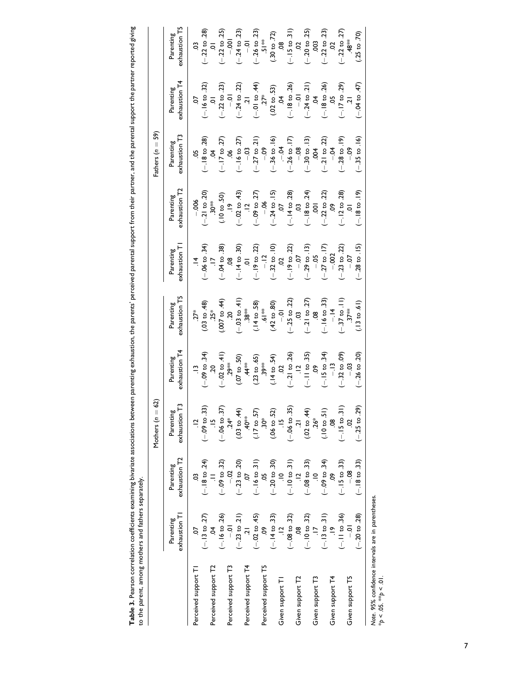| exhaustion T3<br>$(-.18 \text{ to } .28)$<br>.04<br>$(-.36 \text{ to } .16)$<br>$(-.26 \text{ to } .17)$<br>$(-.28 \text{ to } .19)$<br>$(-.17 \text{ to } .27)$<br>$(-.16 \text{ to } .27)$<br>$-03$<br>( $-27$ to $.21$ )<br>$(-30 \text{ to } .13)$<br>$(-21$ to $.22)$<br>Parenting<br>$-5$<br>$-0.09$<br>$-0.8$<br>$-0.4$<br>$-09$<br>$-004$<br>8.<br>5p<br>exhaustion T2<br>$(-.14 \text{ to } .28)$<br>$(-.18 \text{ to } 24)$<br>$(-.21$ to $.20)$<br>$(-.02 \text{ to } .43)$<br>$(12$<br>(-.09 to .27)<br>$(-.24 \text{ to } .15)$<br>$(-.22$ to $.22)$<br>$(-.12 \text{ to } .28)$<br>(0.500, 0.1)<br>Parenting<br>$-006$<br>$30**$<br>$-06$<br>CO.<br>$\overline{c}$<br>$\overline{5}$<br>S.<br>$(-.28 \text{ to } .15)$<br>$(46. \text{ } 03 \text{)} - (-06. \text{ } 03. \text{)}$<br>$(-.04 \text{ to } .38)$<br>.08<br>.08<br>.01<br>(-.19 to .22)<br>-.12<br>$(-.32 \text{ to } .10)$<br>.02<br>$(-.19 \text{ to } .22)$<br>-.07<br>exhaustion T<br>$(-.29 \text{ to } .13)$<br>$(-27 \text{ to } 17)$<br>$(-.23 \text{ to } .22)$<br>Parenting<br>$-0.002$<br>$-0.5$<br>$-0$<br>exhaustion T5<br>$(-.25 \text{ to } .22)$<br>03<br>$(-.21 \text{ to } .27)$<br>.08<br>$(-.16 \text{ to } .33)$<br>$(-.37 \text{ to } .11)$<br>$(-.03 \text{ to } .41)$<br>$(0.07 \text{ to } .44)$<br>(14 to .58)<br>$(.42 \text{ to } .80)$<br>$(13 \text{ to } .61)$<br>$(03 \text{ to } 48)$<br>$25*$<br>Parenting<br>** 19.<br>$37**$<br>$.38**$<br>$-14$<br>$27*$<br>SC.<br>$\overline{0}$ .<br>exhaustion T4<br>$(-.21 \text{ to } .26)$<br>$(-.26 \text{ to } .20)$<br>$(13 - 34)$<br>(-.09 to .34)<br>$(-.11 \text{ to } .35)$<br>$(-.15 \text{ to } .34)$<br>$(-.32 \text{ to } .09)$<br>$(-.02 \text{ to } 41)$<br>.29 <sup>348</sup><br>$(.14 \text{ to } .54)$<br>(0.50, 0.70)<br>$(.23 \text{ to } .65)$<br>Parenting<br>**€€<br>$44**$<br>$-13$<br>S.<br>$-03$<br>$\overline{c}$<br>జ<br>$(-.09 \text{ to } .33)$<br>$(-.06 \text{ to } .37)$<br>$(-.25 \text{ to } .29)$<br>$(-.06 \text{ to } .35)$<br>(03 to .44)<br>$(17 \text{ to } 57)$<br>$(.06 \text{ to } .52)$<br>$(.02 \text{ to } .44)$<br>$(10 \text{ to } 51)$<br>$(-.15 \text{ to } .31)$<br>Parenting<br>exhaustion<br>$40^{**}$<br>$\ddot{5}$<br>$26*$<br>$24*$<br>$\frac{10}{10}$<br>$\frac{10}{10}$<br>exhaustion T <sub>2</sub><br>$(-.18 \text{ to } 24)$<br>$(-.10 to .31)$<br>$(-.20 \text{ to } .30)$<br>$(-.09$ to $.34)$<br>$(-.15 \text{ to } .33)$<br>$(-.18 \text{ to } .33)$<br>$(-.09 \text{ to } .32)$<br>$(-.23 \text{ to } .20)$<br>$(-.08 \text{ to } .33)$<br>$(-.16 \text{ to } 31)$<br>Parenting<br>80<br> <br>$\frac{5}{1}$<br>$\frac{1}{2}$<br>$\equiv$<br>S<br>$\equiv$<br>$(-.14 \text{ to } .33)$<br>$(-.11 to .36)$<br>$(-.20 \text{ to } .28)$<br>$(-.13 \text{ to } .27)$<br>$(-.16 \text{ to } .26)$<br>$(-.23 \text{ to } .21)$<br>$(-.02 \text{ to } .45)$<br>$(-.08 \text{ to } .32)$<br>$(-.10 \text{ to } .32)$<br>$(-.13 \text{ to } .31)$<br>exhaustion T<br>Parenting<br>$\frac{1}{2}$<br>$\overline{a}$<br>S.<br>$\frac{1}{2}$<br>$\frac{6}{1}$<br>$\frac{1}{2}$<br>g<br>S<br>Perceived support T4<br>Perceived support T2<br>Perceived support T3<br>Perceived support T5<br>Perceived support T<br>Given support T2<br>Given support T4<br>Given support T3<br>Given support T5<br>Given support TI | Fathers $(n = 59)$                                  |                                                                          |
|--------------------------------------------------------------------------------------------------------------------------------------------------------------------------------------------------------------------------------------------------------------------------------------------------------------------------------------------------------------------------------------------------------------------------------------------------------------------------------------------------------------------------------------------------------------------------------------------------------------------------------------------------------------------------------------------------------------------------------------------------------------------------------------------------------------------------------------------------------------------------------------------------------------------------------------------------------------------------------------------------------------------------------------------------------------------------------------------------------------------------------------------------------------------------------------------------------------------------------------------------------------------------------------------------------------------------------------------------------------------------------------------------------------------------------------------------------------------------------------------------------------------------------------------------------------------------------------------------------------------------------------------------------------------------------------------------------------------------------------------------------------------------------------------------------------------------------------------------------------------------------------------------------------------------------------------------------------------------------------------------------------------------------------------------------------------------------------------------------------------------------------------------------------------------------------------------------------------------------------------------------------------------------------------------------------------------------------------------------------------------------------------------------------------------------------------------------------------------------------------------------------------------------------------------------------------------------------------------------------------------------------------------------------------------------------------------------------------------------------------------------------------------------------------------------------------------------------------------------------------------------------------------------------------------------------------------------------------------------------------------------------------------------------------------------------------------------------------------------------------------------------------------------------------------------------------------------------------------------------------------------------------------------------------------------------------------------|-----------------------------------------------------|--------------------------------------------------------------------------|
|                                                                                                                                                                                                                                                                                                                                                                                                                                                                                                                                                                                                                                                                                                                                                                                                                                                                                                                                                                                                                                                                                                                                                                                                                                                                                                                                                                                                                                                                                                                                                                                                                                                                                                                                                                                                                                                                                                                                                                                                                                                                                                                                                                                                                                                                                                                                                                                                                                                                                                                                                                                                                                                                                                                                                                                                                                                                                                                                                                                                                                                                                                                                                                                                                                                                                                                                |                                                     | exhaustion T5<br>Parenting<br>exhaustion T4<br>Parenting                 |
|                                                                                                                                                                                                                                                                                                                                                                                                                                                                                                                                                                                                                                                                                                                                                                                                                                                                                                                                                                                                                                                                                                                                                                                                                                                                                                                                                                                                                                                                                                                                                                                                                                                                                                                                                                                                                                                                                                                                                                                                                                                                                                                                                                                                                                                                                                                                                                                                                                                                                                                                                                                                                                                                                                                                                                                                                                                                                                                                                                                                                                                                                                                                                                                                                                                                                                                                |                                                     | $\overline{c}$<br>5.                                                     |
|                                                                                                                                                                                                                                                                                                                                                                                                                                                                                                                                                                                                                                                                                                                                                                                                                                                                                                                                                                                                                                                                                                                                                                                                                                                                                                                                                                                                                                                                                                                                                                                                                                                                                                                                                                                                                                                                                                                                                                                                                                                                                                                                                                                                                                                                                                                                                                                                                                                                                                                                                                                                                                                                                                                                                                                                                                                                                                                                                                                                                                                                                                                                                                                                                                                                                                                                |                                                     | $(-22 \text{ to } .28)$<br>.01<br>$(-.16 \text{ to } .32)$<br>01         |
|                                                                                                                                                                                                                                                                                                                                                                                                                                                                                                                                                                                                                                                                                                                                                                                                                                                                                                                                                                                                                                                                                                                                                                                                                                                                                                                                                                                                                                                                                                                                                                                                                                                                                                                                                                                                                                                                                                                                                                                                                                                                                                                                                                                                                                                                                                                                                                                                                                                                                                                                                                                                                                                                                                                                                                                                                                                                                                                                                                                                                                                                                                                                                                                                                                                                                                                                |                                                     | $(-.22 \text{ to } .25)$<br>-.001<br>$(-.22 \text{ to } .23)$<br>-.01    |
|                                                                                                                                                                                                                                                                                                                                                                                                                                                                                                                                                                                                                                                                                                                                                                                                                                                                                                                                                                                                                                                                                                                                                                                                                                                                                                                                                                                                                                                                                                                                                                                                                                                                                                                                                                                                                                                                                                                                                                                                                                                                                                                                                                                                                                                                                                                                                                                                                                                                                                                                                                                                                                                                                                                                                                                                                                                                                                                                                                                                                                                                                                                                                                                                                                                                                                                                |                                                     |                                                                          |
|                                                                                                                                                                                                                                                                                                                                                                                                                                                                                                                                                                                                                                                                                                                                                                                                                                                                                                                                                                                                                                                                                                                                                                                                                                                                                                                                                                                                                                                                                                                                                                                                                                                                                                                                                                                                                                                                                                                                                                                                                                                                                                                                                                                                                                                                                                                                                                                                                                                                                                                                                                                                                                                                                                                                                                                                                                                                                                                                                                                                                                                                                                                                                                                                                                                                                                                                |                                                     | $(-.24 \text{ to } .23)$<br>$(-.24 \text{ to } .22)$<br>$21$             |
|                                                                                                                                                                                                                                                                                                                                                                                                                                                                                                                                                                                                                                                                                                                                                                                                                                                                                                                                                                                                                                                                                                                                                                                                                                                                                                                                                                                                                                                                                                                                                                                                                                                                                                                                                                                                                                                                                                                                                                                                                                                                                                                                                                                                                                                                                                                                                                                                                                                                                                                                                                                                                                                                                                                                                                                                                                                                                                                                                                                                                                                                                                                                                                                                                                                                                                                                |                                                     | $\overline{0}$ .                                                         |
|                                                                                                                                                                                                                                                                                                                                                                                                                                                                                                                                                                                                                                                                                                                                                                                                                                                                                                                                                                                                                                                                                                                                                                                                                                                                                                                                                                                                                                                                                                                                                                                                                                                                                                                                                                                                                                                                                                                                                                                                                                                                                                                                                                                                                                                                                                                                                                                                                                                                                                                                                                                                                                                                                                                                                                                                                                                                                                                                                                                                                                                                                                                                                                                                                                                                                                                                |                                                     | $(-.26 \text{ to } .23)$<br>$.51***$<br>$(-.01 \text{ to } .44)$<br>.27* |
|                                                                                                                                                                                                                                                                                                                                                                                                                                                                                                                                                                                                                                                                                                                                                                                                                                                                                                                                                                                                                                                                                                                                                                                                                                                                                                                                                                                                                                                                                                                                                                                                                                                                                                                                                                                                                                                                                                                                                                                                                                                                                                                                                                                                                                                                                                                                                                                                                                                                                                                                                                                                                                                                                                                                                                                                                                                                                                                                                                                                                                                                                                                                                                                                                                                                                                                                |                                                     |                                                                          |
|                                                                                                                                                                                                                                                                                                                                                                                                                                                                                                                                                                                                                                                                                                                                                                                                                                                                                                                                                                                                                                                                                                                                                                                                                                                                                                                                                                                                                                                                                                                                                                                                                                                                                                                                                                                                                                                                                                                                                                                                                                                                                                                                                                                                                                                                                                                                                                                                                                                                                                                                                                                                                                                                                                                                                                                                                                                                                                                                                                                                                                                                                                                                                                                                                                                                                                                                |                                                     | $(.30 \text{ to } .72)$<br>$(.02 \text{ to } .53)$                       |
|                                                                                                                                                                                                                                                                                                                                                                                                                                                                                                                                                                                                                                                                                                                                                                                                                                                                                                                                                                                                                                                                                                                                                                                                                                                                                                                                                                                                                                                                                                                                                                                                                                                                                                                                                                                                                                                                                                                                                                                                                                                                                                                                                                                                                                                                                                                                                                                                                                                                                                                                                                                                                                                                                                                                                                                                                                                                                                                                                                                                                                                                                                                                                                                                                                                                                                                                |                                                     | 8Ò<br>$\ddot{a}$                                                         |
|                                                                                                                                                                                                                                                                                                                                                                                                                                                                                                                                                                                                                                                                                                                                                                                                                                                                                                                                                                                                                                                                                                                                                                                                                                                                                                                                                                                                                                                                                                                                                                                                                                                                                                                                                                                                                                                                                                                                                                                                                                                                                                                                                                                                                                                                                                                                                                                                                                                                                                                                                                                                                                                                                                                                                                                                                                                                                                                                                                                                                                                                                                                                                                                                                                                                                                                                |                                                     | $(-.15 \text{ to } .31)$<br>$.02$                                        |
|                                                                                                                                                                                                                                                                                                                                                                                                                                                                                                                                                                                                                                                                                                                                                                                                                                                                                                                                                                                                                                                                                                                                                                                                                                                                                                                                                                                                                                                                                                                                                                                                                                                                                                                                                                                                                                                                                                                                                                                                                                                                                                                                                                                                                                                                                                                                                                                                                                                                                                                                                                                                                                                                                                                                                                                                                                                                                                                                                                                                                                                                                                                                                                                                                                                                                                                                |                                                     | $(-.18 \text{ to } 26)$<br>-0.1                                          |
|                                                                                                                                                                                                                                                                                                                                                                                                                                                                                                                                                                                                                                                                                                                                                                                                                                                                                                                                                                                                                                                                                                                                                                                                                                                                                                                                                                                                                                                                                                                                                                                                                                                                                                                                                                                                                                                                                                                                                                                                                                                                                                                                                                                                                                                                                                                                                                                                                                                                                                                                                                                                                                                                                                                                                                                                                                                                                                                                                                                                                                                                                                                                                                                                                                                                                                                                |                                                     | $(-20 \text{ to } 25)$<br>$(-.24 \text{ to } 21)$                        |
|                                                                                                                                                                                                                                                                                                                                                                                                                                                                                                                                                                                                                                                                                                                                                                                                                                                                                                                                                                                                                                                                                                                                                                                                                                                                                                                                                                                                                                                                                                                                                                                                                                                                                                                                                                                                                                                                                                                                                                                                                                                                                                                                                                                                                                                                                                                                                                                                                                                                                                                                                                                                                                                                                                                                                                                                                                                                                                                                                                                                                                                                                                                                                                                                                                                                                                                                |                                                     | $\frac{3}{2}$<br>Š                                                       |
|                                                                                                                                                                                                                                                                                                                                                                                                                                                                                                                                                                                                                                                                                                                                                                                                                                                                                                                                                                                                                                                                                                                                                                                                                                                                                                                                                                                                                                                                                                                                                                                                                                                                                                                                                                                                                                                                                                                                                                                                                                                                                                                                                                                                                                                                                                                                                                                                                                                                                                                                                                                                                                                                                                                                                                                                                                                                                                                                                                                                                                                                                                                                                                                                                                                                                                                                |                                                     | $(-.22 \text{ to } .23)$<br>$(-.18 \text{ to } .26)$                     |
|                                                                                                                                                                                                                                                                                                                                                                                                                                                                                                                                                                                                                                                                                                                                                                                                                                                                                                                                                                                                                                                                                                                                                                                                                                                                                                                                                                                                                                                                                                                                                                                                                                                                                                                                                                                                                                                                                                                                                                                                                                                                                                                                                                                                                                                                                                                                                                                                                                                                                                                                                                                                                                                                                                                                                                                                                                                                                                                                                                                                                                                                                                                                                                                                                                                                                                                                |                                                     | $\ddot{\circ}$<br>$\ddot{c}$                                             |
|                                                                                                                                                                                                                                                                                                                                                                                                                                                                                                                                                                                                                                                                                                                                                                                                                                                                                                                                                                                                                                                                                                                                                                                                                                                                                                                                                                                                                                                                                                                                                                                                                                                                                                                                                                                                                                                                                                                                                                                                                                                                                                                                                                                                                                                                                                                                                                                                                                                                                                                                                                                                                                                                                                                                                                                                                                                                                                                                                                                                                                                                                                                                                                                                                                                                                                                                |                                                     | $(-22$ to $.27)$<br>$(-.17$ to .29)<br>21                                |
|                                                                                                                                                                                                                                                                                                                                                                                                                                                                                                                                                                                                                                                                                                                                                                                                                                                                                                                                                                                                                                                                                                                                                                                                                                                                                                                                                                                                                                                                                                                                                                                                                                                                                                                                                                                                                                                                                                                                                                                                                                                                                                                                                                                                                                                                                                                                                                                                                                                                                                                                                                                                                                                                                                                                                                                                                                                                                                                                                                                                                                                                                                                                                                                                                                                                                                                                |                                                     | $48$ <sup>*</sup>                                                        |
|                                                                                                                                                                                                                                                                                                                                                                                                                                                                                                                                                                                                                                                                                                                                                                                                                                                                                                                                                                                                                                                                                                                                                                                                                                                                                                                                                                                                                                                                                                                                                                                                                                                                                                                                                                                                                                                                                                                                                                                                                                                                                                                                                                                                                                                                                                                                                                                                                                                                                                                                                                                                                                                                                                                                                                                                                                                                                                                                                                                                                                                                                                                                                                                                                                                                                                                                | $(-35 \text{ to } .16)$<br>$(-.18 \text{ to } .19)$ | $(25 \text{ to } .70)$<br>$(-0.47)$                                      |

Table 3. Pearson correlation coefficients examining bivariate associations between parenting exhaustion, the parents' perceived parental support from their partner, and the parental support the partner reported giving<br>to t Table 3. Pearson correlation coefficients examining bivariate associations between parenting exhaustion, the parents' perceived parental support from their partner, and the parental support the partner reported giving to the parent, among mothers and fathers separately.

7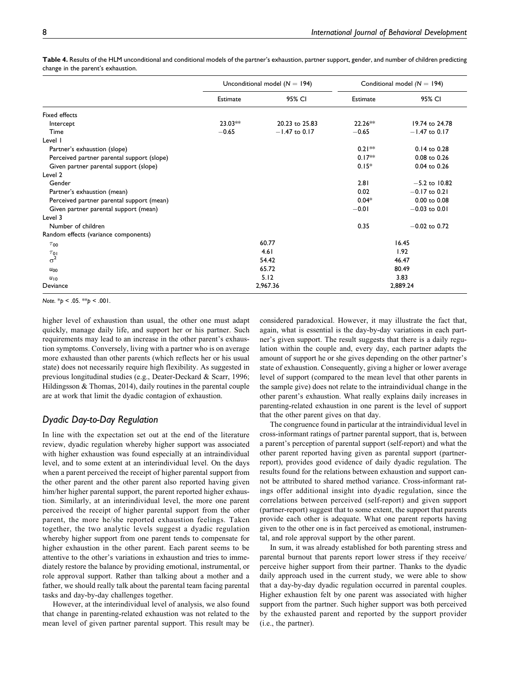|                                            |                      | Unconditional model ( $N = 194$ ) | Conditional model $(N = 194)$ |                  |
|--------------------------------------------|----------------------|-----------------------------------|-------------------------------|------------------|
|                                            | Estimate             | 95% CI                            | Estimate                      | 95% CI           |
| Fixed effects                              |                      |                                   |                               |                  |
| Intercept                                  | $23.03**$            | 20.23 to 25.83                    | $22.26**$                     | 19.74 to 24.78   |
| Time                                       | $-0.65$              | $-1.47$ to 0.17                   | $-0.65$                       | $-1.47$ to 0.17  |
| Level I                                    |                      |                                   |                               |                  |
| Partner's exhaustion (slope)               |                      |                                   | $0.21***$                     | 0.14 to 0.28     |
| Perceived partner parental support (slope) |                      |                                   | $0.17**$                      | 0.08 to 0.26     |
| Given partner parental support (slope)     |                      |                                   | $0.15*$                       | 0.04 to 0.26     |
| Level 2                                    |                      |                                   |                               |                  |
| Gender                                     |                      |                                   | 2.81                          | $-5.2$ to 10.82  |
| Partner's exhaustion (mean)                |                      |                                   | 0.02                          | $-0.17$ to 0.21  |
| Perceived partner parental support (mean)  |                      |                                   | $0.04*$                       | $0.00$ to $0.08$ |
| Given partner parental support (mean)      |                      |                                   | $-0.01$                       | $-0.03$ to 0.01  |
| Level 3                                    |                      |                                   |                               |                  |
| Number of children                         |                      |                                   | 0.35                          | $-0.02$ to 0.72  |
| Random effects (variance components)       |                      |                                   |                               |                  |
| $\tau_{00}$                                | 60.77                |                                   | 16.45                         |                  |
| $\tau_{01}$                                | 4.61                 |                                   | 1.92                          |                  |
| $\sigma^2$                                 | 54.42                |                                   | 46.47                         |                  |
| $u_{00}$                                   | 65.72                |                                   | 80.49                         |                  |
| $u_{10}$                                   |                      | 5.12                              |                               | 3.83             |
| Deviance                                   | 2,967.36<br>2,889.24 |                                   |                               |                  |

Table 4. Results of the HLM unconditional and conditional models of the partner's exhaustion, partner support, gender, and number of children predicting change in the parent's exhaustion.

Note.  $*_p$  < .05.  $*_p$  < .001.

higher level of exhaustion than usual, the other one must adapt quickly, manage daily life, and support her or his partner. Such requirements may lead to an increase in the other parent's exhaustion symptoms. Conversely, living with a partner who is on average more exhausted than other parents (which reflects her or his usual state) does not necessarily require high flexibility. As suggested in previous longitudinal studies (e.g., Deater-Deckard & Scarr, 1996; Hildingsson & Thomas, 2014), daily routines in the parental couple are at work that limit the dyadic contagion of exhaustion.

## Dyadic Day-to-Day Regulation

In line with the expectation set out at the end of the literature review, dyadic regulation whereby higher support was associated with higher exhaustion was found especially at an intraindividual level, and to some extent at an interindividual level. On the days when a parent perceived the receipt of higher parental support from the other parent and the other parent also reported having given him/her higher parental support, the parent reported higher exhaustion. Similarly, at an interindividual level, the more one parent perceived the receipt of higher parental support from the other parent, the more he/she reported exhaustion feelings. Taken together, the two analytic levels suggest a dyadic regulation whereby higher support from one parent tends to compensate for higher exhaustion in the other parent. Each parent seems to be attentive to the other's variations in exhaustion and tries to immediately restore the balance by providing emotional, instrumental, or role approval support. Rather than talking about a mother and a father, we should really talk about the parental team facing parental tasks and day-by-day challenges together.

However, at the interindividual level of analysis, we also found that change in parenting-related exhaustion was not related to the mean level of given partner parental support. This result may be considered paradoxical. However, it may illustrate the fact that, again, what is essential is the day-by-day variations in each partner's given support. The result suggests that there is a daily regulation within the couple and, every day, each partner adapts the amount of support he or she gives depending on the other partner's state of exhaustion. Consequently, giving a higher or lower average level of support (compared to the mean level that other parents in the sample give) does not relate to the intraindividual change in the other parent's exhaustion. What really explains daily increases in parenting-related exhaustion in one parent is the level of support that the other parent gives on that day.

The congruence found in particular at the intraindividual level in cross-informant ratings of partner parental support, that is, between a parent's perception of parental support (self-report) and what the other parent reported having given as parental support (partnerreport), provides good evidence of daily dyadic regulation. The results found for the relations between exhaustion and support cannot be attributed to shared method variance. Cross-informant ratings offer additional insight into dyadic regulation, since the correlations between perceived (self-report) and given support (partner-report) suggest that to some extent, the support that parents provide each other is adequate. What one parent reports having given to the other one is in fact perceived as emotional, instrumental, and role approval support by the other parent.

In sum, it was already established for both parenting stress and parental burnout that parents report lower stress if they receive/ perceive higher support from their partner. Thanks to the dyadic daily approach used in the current study, we were able to show that a day-by-day dyadic regulation occurred in parental couples. Higher exhaustion felt by one parent was associated with higher support from the partner. Such higher support was both perceived by the exhausted parent and reported by the support provider (i.e., the partner).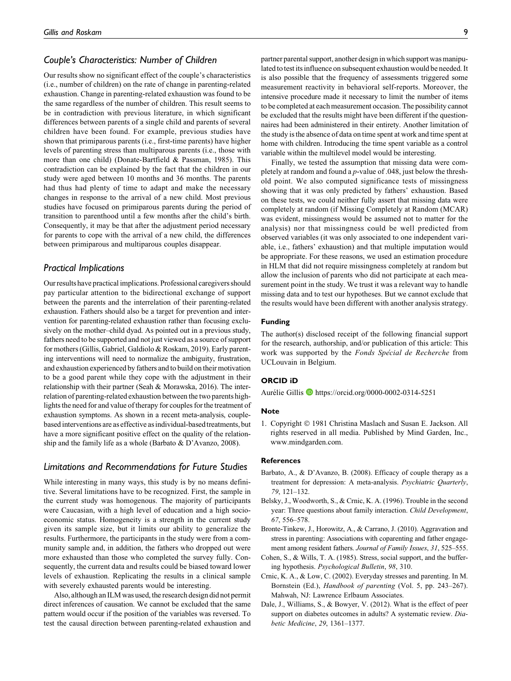#### Couple's Characteristics: Number of Children

Our results show no significant effect of the couple's characteristics (i.e., number of children) on the rate of change in parenting-related exhaustion. Change in parenting-related exhaustion was found to be the same regardless of the number of children. This result seems to be in contradiction with previous literature, in which significant differences between parents of a single child and parents of several children have been found. For example, previous studies have shown that primiparous parents (i.e., first-time parents) have higher levels of parenting stress than multiparous parents (i.e., those with more than one child) (Donate-Bartfield & Passman, 1985). This contradiction can be explained by the fact that the children in our study were aged between 10 months and 36 months. The parents had thus had plenty of time to adapt and make the necessary changes in response to the arrival of a new child. Most previous studies have focused on primiparous parents during the period of transition to parenthood until a few months after the child's birth. Consequently, it may be that after the adjustment period necessary for parents to cope with the arrival of a new child, the differences between primiparous and multiparous couples disappear.

#### Practical Implications

Our results have practical implications. Professional caregivers should pay particular attention to the bidirectional exchange of support between the parents and the interrelation of their parenting-related exhaustion. Fathers should also be a target for prevention and intervention for parenting-related exhaustion rather than focusing exclusively on the mother–child dyad. As pointed out in a previous study, fathers need to be supported and not just viewed as a source of support for mothers (Gillis, Gabriel, Galdiolo & Roskam, 2019). Early parenting interventions will need to normalize the ambiguity, frustration, and exhaustion experienced by fathers and to build on their motivation to be a good parent while they cope with the adjustment in their relationship with their partner (Seah & Morawska, 2016). The interrelation of parenting-related exhaustion between the two parents highlights the need for and value of therapy for couples for the treatment of exhaustion symptoms. As shown in a recent meta-analysis, couplebased interventions are as effective as individual-based treatments, but have a more significant positive effect on the quality of the relationship and the family life as a whole (Barbato & D'Avanzo, 2008).

#### Limitations and Recommendations for Future Studies

While interesting in many ways, this study is by no means definitive. Several limitations have to be recognized. First, the sample in the current study was homogenous. The majority of participants were Caucasian, with a high level of education and a high socioeconomic status. Homogeneity is a strength in the current study given its sample size, but it limits our ability to generalize the results. Furthermore, the participants in the study were from a community sample and, in addition, the fathers who dropped out were more exhausted than those who completed the survey fully. Consequently, the current data and results could be biased toward lower levels of exhaustion. Replicating the results in a clinical sample with severely exhausted parents would be interesting.

Also, although an ILM was used, the research design did not permit direct inferences of causation. We cannot be excluded that the same pattern would occur if the position of the variables was reversed. To test the causal direction between parenting-related exhaustion and partner parental support, another design in which support was manipulated to test its influence on subsequent exhaustion would be needed. It is also possible that the frequency of assessments triggered some measurement reactivity in behavioral self-reports. Moreover, the intensive procedure made it necessary to limit the number of items to be completed at each measurement occasion. The possibility cannot be excluded that the results might have been different if the questionnaires had been administered in their entirety. Another limitation of the study is the absence of data on time spent at work and time spent at home with children. Introducing the time spent variable as a control variable within the multilevel model would be interesting.

Finally, we tested the assumption that missing data were completely at random and found a p-value of .048, just below the threshold point. We also computed significance tests of missingness showing that it was only predicted by fathers' exhaustion. Based on these tests, we could neither fully assert that missing data were completely at random (if Missing Completely at Random (MCAR) was evident, missingness would be assumed not to matter for the analysis) nor that missingness could be well predicted from observed variables (it was only associated to one independent variable, i.e., fathers' exhaustion) and that multiple imputation would be appropriate. For these reasons, we used an estimation procedure in HLM that did not require missingness completely at random but allow the inclusion of parents who did not participate at each measurement point in the study. We trust it was a relevant way to handle missing data and to test our hypotheses. But we cannot exclude that the results would have been different with another analysis strategy.

#### Funding

The author(s) disclosed receipt of the following financial support for the research, authorship, and/or publication of this article: This work was supported by the Fonds Special de Recherche from UCLouvain in Belgium.

#### ORCID iD

Aurélie Gillis  $\blacksquare$  <https://orcid.org/0000-0002-0314-5251>

#### Note

1. Copyright © 1981 Christina Maslach and Susan E. Jackson. All rights reserved in all media. Published by Mind Garden, Inc., [www.mindgarden.com.](http://www.mindgarden.com)

#### **References**

- Barbato, A., & D'Avanzo, B. (2008). Efficacy of couple therapy as a treatment for depression: A meta-analysis. Psychiatric Quarterly, 79, 121–132.
- Belsky, J., Woodworth, S., & Crnic, K. A. (1996). Trouble in the second year: Three questions about family interaction. Child Development, 67, 556–578.
- Bronte-Tinkew, J., Horowitz, A., & Carrano, J. (2010). Aggravation and stress in parenting: Associations with coparenting and father engagement among resident fathers. Journal of Family Issues, 31, 525–555.
- Cohen, S., & Wills, T. A. (1985). Stress, social support, and the buffering hypothesis. Psychological Bulletin, 98, 310.
- Crnic, K. A., & Low, C. (2002). Everyday stresses and parenting. In M. Bornstein (Ed.), Handbook of parenting (Vol. 5, pp. 243–267). Mahwah, NJ: Lawrence Erlbaum Associates.
- Dale, J., Williams, S., & Bowyer, V. (2012). What is the effect of peer support on diabetes outcomes in adults? A systematic review. Diabetic Medicine, 29, 1361–1377.